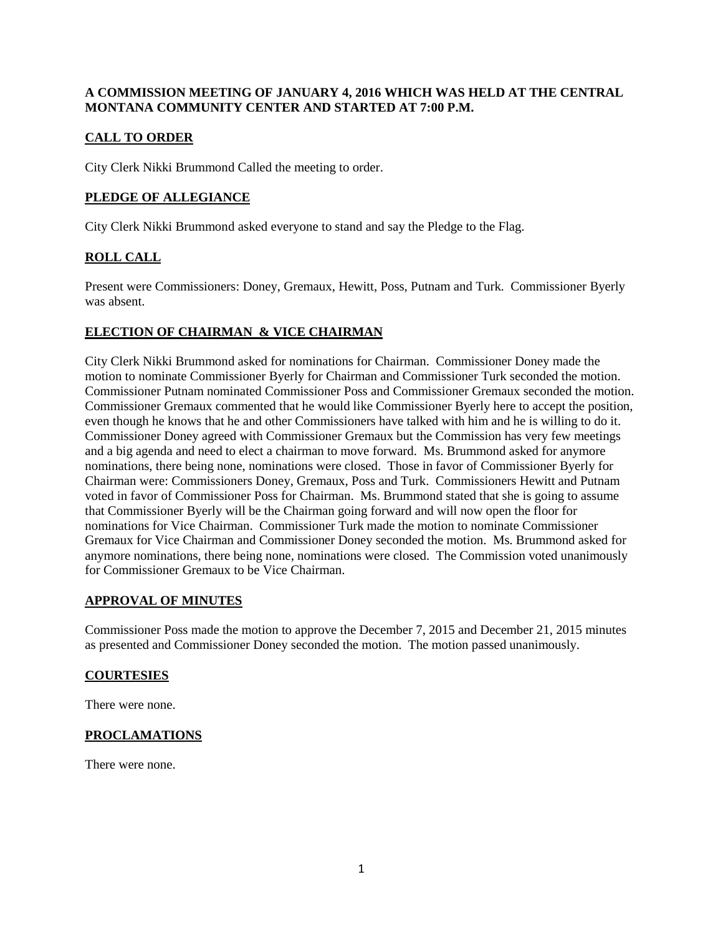## **A COMMISSION MEETING OF JANUARY 4, 2016 WHICH WAS HELD AT THE CENTRAL MONTANA COMMUNITY CENTER AND STARTED AT 7:00 P.M.**

# **CALL TO ORDER**

City Clerk Nikki Brummond Called the meeting to order.

### **PLEDGE OF ALLEGIANCE**

City Clerk Nikki Brummond asked everyone to stand and say the Pledge to the Flag.

## **ROLL CALL**

Present were Commissioners: Doney, Gremaux, Hewitt, Poss, Putnam and Turk. Commissioner Byerly was absent.

### **ELECTION OF CHAIRMAN & VICE CHAIRMAN**

City Clerk Nikki Brummond asked for nominations for Chairman. Commissioner Doney made the motion to nominate Commissioner Byerly for Chairman and Commissioner Turk seconded the motion. Commissioner Putnam nominated Commissioner Poss and Commissioner Gremaux seconded the motion. Commissioner Gremaux commented that he would like Commissioner Byerly here to accept the position, even though he knows that he and other Commissioners have talked with him and he is willing to do it. Commissioner Doney agreed with Commissioner Gremaux but the Commission has very few meetings and a big agenda and need to elect a chairman to move forward. Ms. Brummond asked for anymore nominations, there being none, nominations were closed. Those in favor of Commissioner Byerly for Chairman were: Commissioners Doney, Gremaux, Poss and Turk. Commissioners Hewitt and Putnam voted in favor of Commissioner Poss for Chairman. Ms. Brummond stated that she is going to assume that Commissioner Byerly will be the Chairman going forward and will now open the floor for nominations for Vice Chairman. Commissioner Turk made the motion to nominate Commissioner Gremaux for Vice Chairman and Commissioner Doney seconded the motion. Ms. Brummond asked for anymore nominations, there being none, nominations were closed. The Commission voted unanimously for Commissioner Gremaux to be Vice Chairman.

### **APPROVAL OF MINUTES**

Commissioner Poss made the motion to approve the December 7, 2015 and December 21, 2015 minutes as presented and Commissioner Doney seconded the motion. The motion passed unanimously.

### **COURTESIES**

There were none.

### **PROCLAMATIONS**

There were none.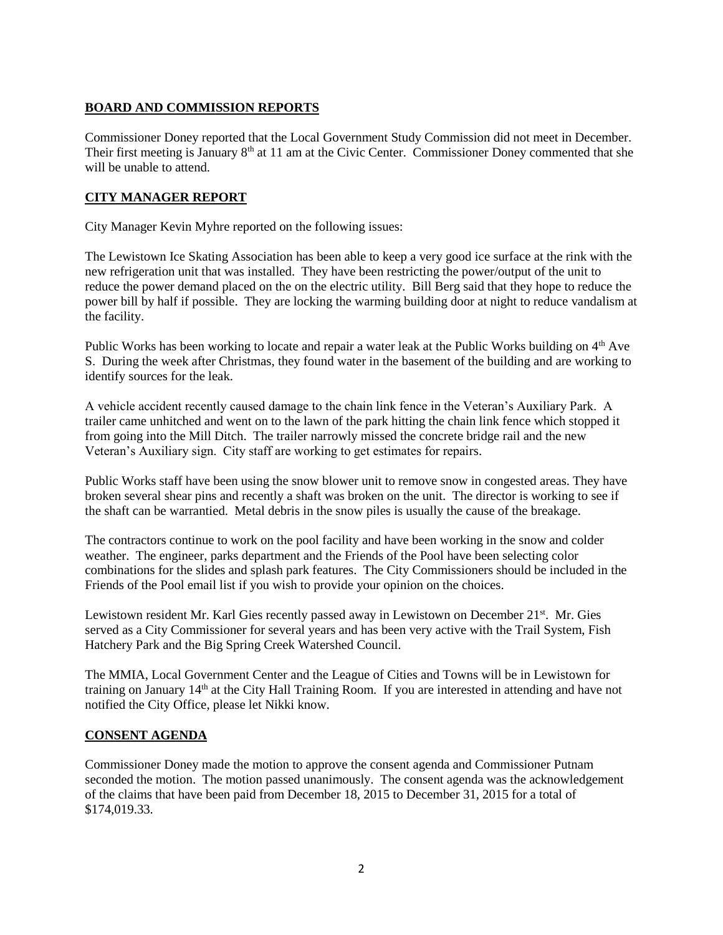# **BOARD AND COMMISSION REPORTS**

Commissioner Doney reported that the Local Government Study Commission did not meet in December. Their first meeting is January 8<sup>th</sup> at 11 am at the Civic Center. Commissioner Doney commented that she will be unable to attend.

## **CITY MANAGER REPORT**

City Manager Kevin Myhre reported on the following issues:

The Lewistown Ice Skating Association has been able to keep a very good ice surface at the rink with the new refrigeration unit that was installed. They have been restricting the power/output of the unit to reduce the power demand placed on the on the electric utility. Bill Berg said that they hope to reduce the power bill by half if possible. They are locking the warming building door at night to reduce vandalism at the facility.

Public Works has been working to locate and repair a water leak at the Public Works building on 4<sup>th</sup> Ave S. During the week after Christmas, they found water in the basement of the building and are working to identify sources for the leak.

A vehicle accident recently caused damage to the chain link fence in the Veteran's Auxiliary Park. A trailer came unhitched and went on to the lawn of the park hitting the chain link fence which stopped it from going into the Mill Ditch. The trailer narrowly missed the concrete bridge rail and the new Veteran's Auxiliary sign. City staff are working to get estimates for repairs.

Public Works staff have been using the snow blower unit to remove snow in congested areas. They have broken several shear pins and recently a shaft was broken on the unit. The director is working to see if the shaft can be warrantied. Metal debris in the snow piles is usually the cause of the breakage.

The contractors continue to work on the pool facility and have been working in the snow and colder weather. The engineer, parks department and the Friends of the Pool have been selecting color combinations for the slides and splash park features. The City Commissioners should be included in the Friends of the Pool email list if you wish to provide your opinion on the choices.

Lewistown resident Mr. Karl Gies recently passed away in Lewistown on December 21<sup>st</sup>. Mr. Gies served as a City Commissioner for several years and has been very active with the Trail System, Fish Hatchery Park and the Big Spring Creek Watershed Council.

The MMIA, Local Government Center and the League of Cities and Towns will be in Lewistown for training on January 14<sup>th</sup> at the City Hall Training Room. If you are interested in attending and have not notified the City Office, please let Nikki know.

### **CONSENT AGENDA**

Commissioner Doney made the motion to approve the consent agenda and Commissioner Putnam seconded the motion. The motion passed unanimously. The consent agenda was the acknowledgement of the claims that have been paid from December 18, 2015 to December 31, 2015 for a total of \$174,019.33.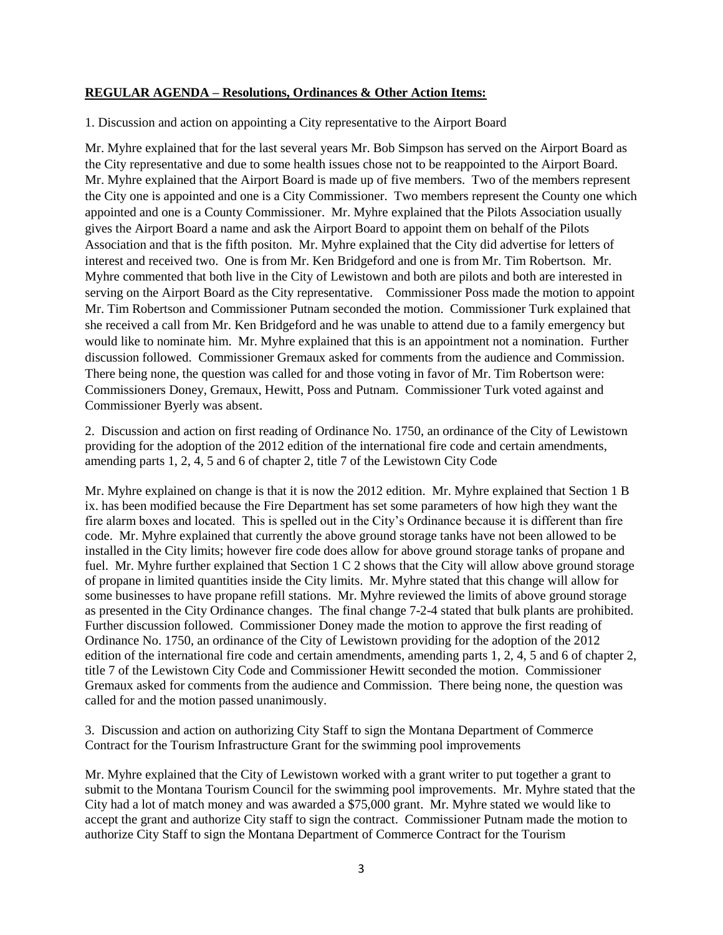#### **REGULAR AGENDA – Resolutions, Ordinances & Other Action Items:**

1. Discussion and action on appointing a City representative to the Airport Board

Mr. Myhre explained that for the last several years Mr. Bob Simpson has served on the Airport Board as the City representative and due to some health issues chose not to be reappointed to the Airport Board. Mr. Myhre explained that the Airport Board is made up of five members. Two of the members represent the City one is appointed and one is a City Commissioner. Two members represent the County one which appointed and one is a County Commissioner. Mr. Myhre explained that the Pilots Association usually gives the Airport Board a name and ask the Airport Board to appoint them on behalf of the Pilots Association and that is the fifth positon. Mr. Myhre explained that the City did advertise for letters of interest and received two. One is from Mr. Ken Bridgeford and one is from Mr. Tim Robertson. Mr. Myhre commented that both live in the City of Lewistown and both are pilots and both are interested in serving on the Airport Board as the City representative. Commissioner Poss made the motion to appoint Mr. Tim Robertson and Commissioner Putnam seconded the motion. Commissioner Turk explained that she received a call from Mr. Ken Bridgeford and he was unable to attend due to a family emergency but would like to nominate him. Mr. Myhre explained that this is an appointment not a nomination. Further discussion followed. Commissioner Gremaux asked for comments from the audience and Commission. There being none, the question was called for and those voting in favor of Mr. Tim Robertson were: Commissioners Doney, Gremaux, Hewitt, Poss and Putnam. Commissioner Turk voted against and Commissioner Byerly was absent.

2. Discussion and action on first reading of Ordinance No. 1750, an ordinance of the City of Lewistown providing for the adoption of the 2012 edition of the international fire code and certain amendments, amending parts 1, 2, 4, 5 and 6 of chapter 2, title 7 of the Lewistown City Code

Mr. Myhre explained on change is that it is now the 2012 edition. Mr. Myhre explained that Section 1 B ix. has been modified because the Fire Department has set some parameters of how high they want the fire alarm boxes and located. This is spelled out in the City's Ordinance because it is different than fire code. Mr. Myhre explained that currently the above ground storage tanks have not been allowed to be installed in the City limits; however fire code does allow for above ground storage tanks of propane and fuel. Mr. Myhre further explained that Section 1 C 2 shows that the City will allow above ground storage of propane in limited quantities inside the City limits. Mr. Myhre stated that this change will allow for some businesses to have propane refill stations. Mr. Myhre reviewed the limits of above ground storage as presented in the City Ordinance changes. The final change 7-2-4 stated that bulk plants are prohibited. Further discussion followed. Commissioner Doney made the motion to approve the first reading of Ordinance No. 1750, an ordinance of the City of Lewistown providing for the adoption of the 2012 edition of the international fire code and certain amendments, amending parts 1, 2, 4, 5 and 6 of chapter 2, title 7 of the Lewistown City Code and Commissioner Hewitt seconded the motion. Commissioner Gremaux asked for comments from the audience and Commission. There being none, the question was called for and the motion passed unanimously.

3. Discussion and action on authorizing City Staff to sign the Montana Department of Commerce Contract for the Tourism Infrastructure Grant for the swimming pool improvements

Mr. Myhre explained that the City of Lewistown worked with a grant writer to put together a grant to submit to the Montana Tourism Council for the swimming pool improvements. Mr. Myhre stated that the City had a lot of match money and was awarded a \$75,000 grant. Mr. Myhre stated we would like to accept the grant and authorize City staff to sign the contract. Commissioner Putnam made the motion to authorize City Staff to sign the Montana Department of Commerce Contract for the Tourism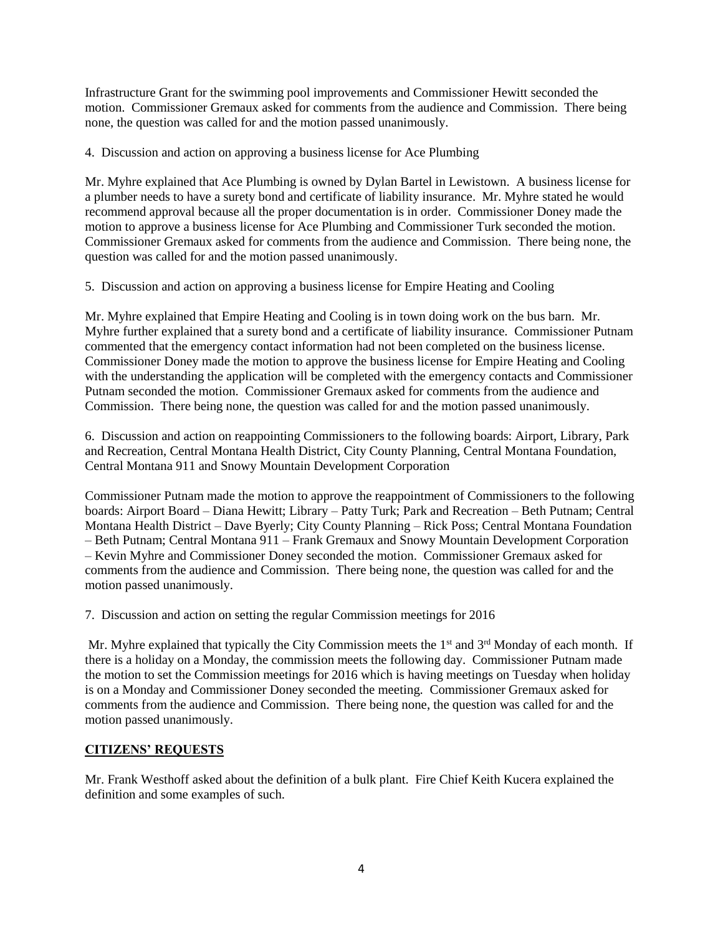Infrastructure Grant for the swimming pool improvements and Commissioner Hewitt seconded the motion. Commissioner Gremaux asked for comments from the audience and Commission. There being none, the question was called for and the motion passed unanimously.

4. Discussion and action on approving a business license for Ace Plumbing

Mr. Myhre explained that Ace Plumbing is owned by Dylan Bartel in Lewistown. A business license for a plumber needs to have a surety bond and certificate of liability insurance. Mr. Myhre stated he would recommend approval because all the proper documentation is in order. Commissioner Doney made the motion to approve a business license for Ace Plumbing and Commissioner Turk seconded the motion. Commissioner Gremaux asked for comments from the audience and Commission. There being none, the question was called for and the motion passed unanimously.

5. Discussion and action on approving a business license for Empire Heating and Cooling

Mr. Myhre explained that Empire Heating and Cooling is in town doing work on the bus barn. Mr. Myhre further explained that a surety bond and a certificate of liability insurance. Commissioner Putnam commented that the emergency contact information had not been completed on the business license. Commissioner Doney made the motion to approve the business license for Empire Heating and Cooling with the understanding the application will be completed with the emergency contacts and Commissioner Putnam seconded the motion. Commissioner Gremaux asked for comments from the audience and Commission. There being none, the question was called for and the motion passed unanimously.

6. Discussion and action on reappointing Commissioners to the following boards: Airport, Library, Park and Recreation, Central Montana Health District, City County Planning, Central Montana Foundation, Central Montana 911 and Snowy Mountain Development Corporation

Commissioner Putnam made the motion to approve the reappointment of Commissioners to the following boards: Airport Board – Diana Hewitt; Library – Patty Turk; Park and Recreation – Beth Putnam; Central Montana Health District – Dave Byerly; City County Planning – Rick Poss; Central Montana Foundation – Beth Putnam; Central Montana 911 – Frank Gremaux and Snowy Mountain Development Corporation – Kevin Myhre and Commissioner Doney seconded the motion. Commissioner Gremaux asked for comments from the audience and Commission. There being none, the question was called for and the motion passed unanimously.

7. Discussion and action on setting the regular Commission meetings for 2016

Mr. Myhre explained that typically the City Commission meets the  $1<sup>st</sup>$  and  $3<sup>rd</sup>$  Monday of each month. If there is a holiday on a Monday, the commission meets the following day. Commissioner Putnam made the motion to set the Commission meetings for 2016 which is having meetings on Tuesday when holiday is on a Monday and Commissioner Doney seconded the meeting. Commissioner Gremaux asked for comments from the audience and Commission. There being none, the question was called for and the motion passed unanimously.

# **CITIZENS' REQUESTS**

Mr. Frank Westhoff asked about the definition of a bulk plant. Fire Chief Keith Kucera explained the definition and some examples of such.